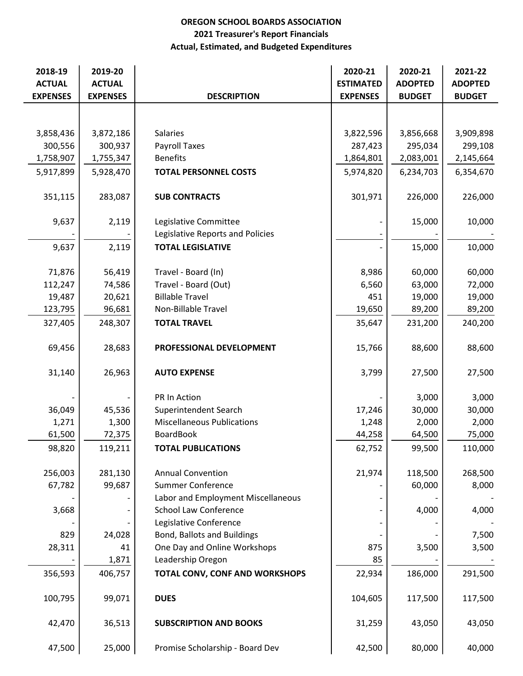## OREGON SCHOOL BOARDS ASSOCIATION Actual, Estimated, and Budgeted Expenditures 2021 Treasurer's Report Financials

| 2018-19<br><b>ACTUAL</b> | 2019-20<br><b>ACTUAL</b> |                                    | 2020-21<br><b>ESTIMATED</b> | 2020-21<br><b>ADOPTED</b> | 2021-22<br><b>ADOPTED</b> |
|--------------------------|--------------------------|------------------------------------|-----------------------------|---------------------------|---------------------------|
| <b>EXPENSES</b>          | <b>EXPENSES</b>          | <b>DESCRIPTION</b>                 | <b>EXPENSES</b>             | <b>BUDGET</b>             | <b>BUDGET</b>             |
|                          |                          |                                    |                             |                           |                           |
| 3,858,436                | 3,872,186                | <b>Salaries</b>                    |                             |                           |                           |
| 300,556                  | 300,937                  | <b>Payroll Taxes</b>               | 3,822,596<br>287,423        | 3,856,668<br>295,034      | 3,909,898<br>299,108      |
| 1,758,907                | 1,755,347                | <b>Benefits</b>                    | 1,864,801                   | 2,083,001                 | 2,145,664                 |
|                          |                          |                                    |                             |                           |                           |
| 5,917,899                | 5,928,470                | <b>TOTAL PERSONNEL COSTS</b>       | 5,974,820                   | 6,234,703                 | 6,354,670                 |
| 351,115                  | 283,087                  | <b>SUB CONTRACTS</b>               | 301,971                     | 226,000                   | 226,000                   |
| 9,637                    | 2,119                    | Legislative Committee              |                             | 15,000                    | 10,000                    |
|                          |                          | Legislative Reports and Policies   |                             |                           |                           |
| 9,637                    | 2,119                    | <b>TOTAL LEGISLATIVE</b>           |                             | 15,000                    | 10,000                    |
|                          |                          |                                    |                             |                           |                           |
| 71,876                   | 56,419                   | Travel - Board (In)                | 8,986                       | 60,000                    | 60,000                    |
| 112,247                  | 74,586                   | Travel - Board (Out)               | 6,560                       | 63,000                    | 72,000                    |
| 19,487                   | 20,621                   | <b>Billable Travel</b>             | 451                         | 19,000                    | 19,000                    |
| 123,795                  | 96,681                   | Non-Billable Travel                | 19,650                      | 89,200                    | 89,200                    |
| 327,405                  | 248,307                  | <b>TOTAL TRAVEL</b>                | 35,647                      | 231,200                   | 240,200                   |
| 69,456                   | 28,683                   | PROFESSIONAL DEVELOPMENT           | 15,766                      | 88,600                    | 88,600                    |
| 31,140                   | 26,963                   | <b>AUTO EXPENSE</b>                | 3,799                       | 27,500                    | 27,500                    |
|                          |                          | PR In Action                       |                             | 3,000                     | 3,000                     |
| 36,049                   | 45,536                   | Superintendent Search              | 17,246                      | 30,000                    | 30,000                    |
| 1,271                    | 1,300                    | <b>Miscellaneous Publications</b>  | 1,248                       | 2,000                     | 2,000                     |
| 61,500                   | 72,375                   | <b>BoardBook</b>                   | 44,258                      | 64,500                    | 75,000                    |
| 98,820                   | 119,211                  | <b>TOTAL PUBLICATIONS</b>          | 62,752                      | 99,500                    | 110,000                   |
| 256,003                  | 281,130                  | <b>Annual Convention</b>           | 21,974                      | 118,500                   | 268,500                   |
| 67,782                   | 99,687                   | <b>Summer Conference</b>           |                             | 60,000                    | 8,000                     |
|                          |                          | Labor and Employment Miscellaneous |                             |                           |                           |
| 3,668                    |                          | <b>School Law Conference</b>       |                             | 4,000                     | 4,000                     |
|                          |                          | Legislative Conference             |                             |                           |                           |
| 829                      | 24,028                   | <b>Bond, Ballots and Buildings</b> |                             |                           | 7,500                     |
| 28,311                   | 41                       | One Day and Online Workshops       | 875                         | 3,500                     | 3,500                     |
|                          | 1,871                    | Leadership Oregon                  | 85                          |                           |                           |
| 356,593                  | 406,757                  | TOTAL CONV, CONF AND WORKSHOPS     | 22,934                      | 186,000                   | 291,500                   |
| 100,795                  | 99,071                   | <b>DUES</b>                        | 104,605                     | 117,500                   | 117,500                   |
| 42,470                   | 36,513                   | <b>SUBSCRIPTION AND BOOKS</b>      | 31,259                      | 43,050                    | 43,050                    |
| 47,500                   | 25,000                   | Promise Scholarship - Board Dev    | 42,500                      | 80,000                    | 40,000                    |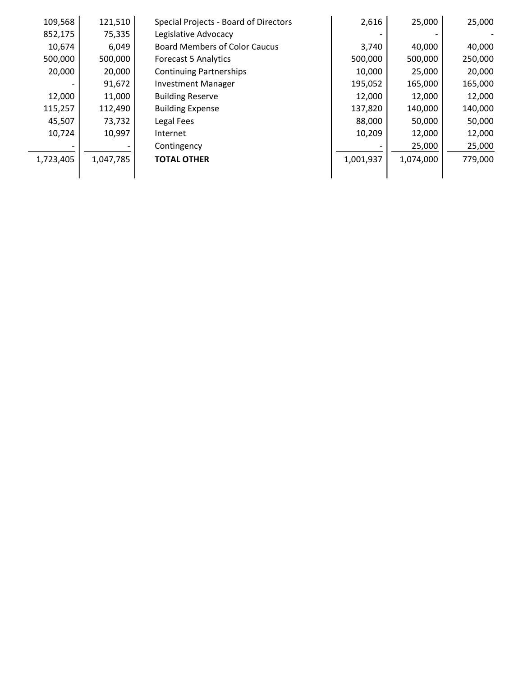| 109,568   | 121,510   | Special Projects - Board of Directors | 2,616     | 25,000    | 25,000  |
|-----------|-----------|---------------------------------------|-----------|-----------|---------|
| 852,175   | 75,335    | Legislative Advocacy                  |           |           |         |
| 10,674    | 6,049     | <b>Board Members of Color Caucus</b>  | 3,740     | 40,000    | 40,000  |
| 500,000   | 500,000   | <b>Forecast 5 Analytics</b>           | 500,000   | 500,000   | 250,000 |
| 20,000    | 20,000    | <b>Continuing Partnerships</b>        | 10,000    | 25,000    | 20,000  |
|           | 91,672    | <b>Investment Manager</b>             | 195,052   | 165,000   | 165,000 |
| 12,000    | 11,000    | <b>Building Reserve</b>               | 12,000    | 12,000    | 12,000  |
| 115,257   | 112,490   | <b>Building Expense</b>               | 137,820   | 140,000   | 140,000 |
| 45,507    | 73,732    | Legal Fees                            | 88,000    | 50,000    | 50,000  |
| 10,724    | 10,997    | Internet                              | 10,209    | 12,000    | 12,000  |
|           |           | Contingency                           |           | 25,000    | 25,000  |
| 1,723,405 | 1,047,785 | <b>TOTAL OTHER</b>                    | 1,001,937 | 1,074,000 | 779,000 |
|           |           |                                       |           |           |         |
|           |           |                                       |           |           |         |
|           |           |                                       |           |           |         |